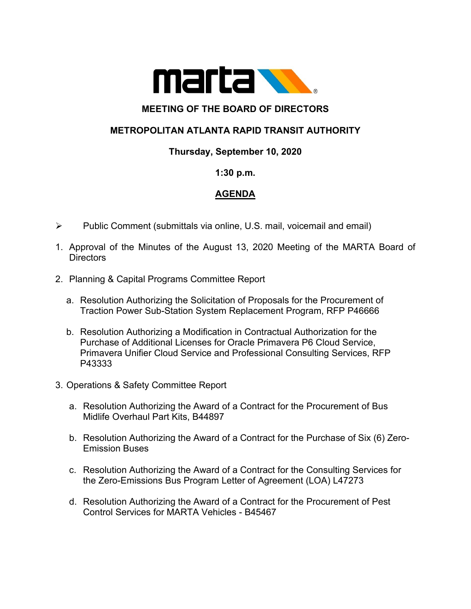

# **MEETING OF THE BOARD OF DIRECTORS**

# **METROPOLITAN ATLANTA RAPID TRANSIT AUTHORITY**

### **Thursday, September 10, 2020**

### **1:30 p.m.**

### **AGENDA**

- $\triangleright$  Public Comment (submittals via online, U.S. mail, voicemail and email)
- 1. Approval of the Minutes of the August 13, 2020 Meeting of the MARTA Board of Directors
- 2. Planning & Capital Programs Committee Report
	- a. Resolution Authorizing the Solicitation of Proposals for the Procurement of Traction Power Sub-Station System Replacement Program, RFP P46666
	- b. Resolution Authorizing a Modification in Contractual Authorization for the Purchase of Additional Licenses for Oracle Primavera P6 Cloud Service, Primavera Unifier Cloud Service and Professional Consulting Services, RFP P43333
- 3. Operations & Safety Committee Report
	- a. Resolution Authorizing the Award of a Contract for the Procurement of Bus Midlife Overhaul Part Kits, B44897
	- b. Resolution Authorizing the Award of a Contract for the Purchase of Six (6) Zero-Emission Buses
	- c. Resolution Authorizing the Award of a Contract for the Consulting Services for the Zero-Emissions Bus Program Letter of Agreement (LOA) L47273
	- d. Resolution Authorizing the Award of a Contract for the Procurement of Pest Control Services for MARTA Vehicles - B45467